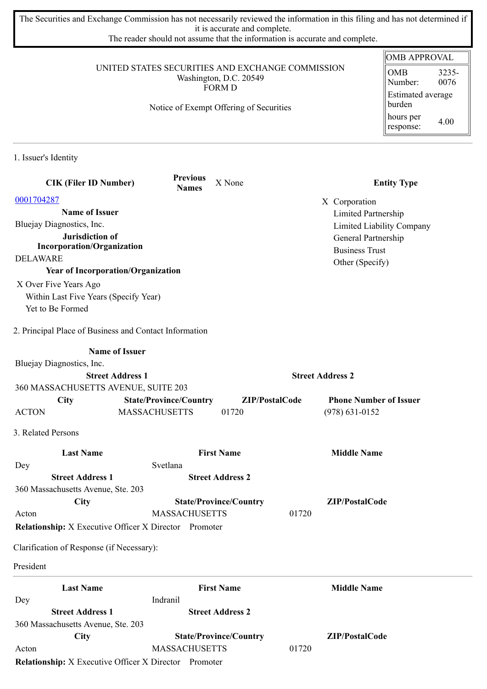The Securities and Exchange Commission has not necessarily reviewed the information in this filing and has not determined if it is accurate and complete.

The reader should not assume that the information is accurate and complete.

## UNITED STATES SECURITIES AND EXCHANGE COMMISSION Washington, D.C. 20549 FORM D

Notice of Exempt Offering of Securities

## OMB APPROVAL OMB Number: 3235- 0076 Estimated average burden hours per response: 4.00

1. Issuer's Identity

| <b>CIK (Filer ID Number)</b>                                 | <b>Previous</b><br><b>Names</b> | X None                        |                         | <b>Entity Type</b>            |
|--------------------------------------------------------------|---------------------------------|-------------------------------|-------------------------|-------------------------------|
| 0001704287                                                   |                                 |                               | X Corporation           |                               |
| <b>Name of Issuer</b>                                        |                                 |                               |                         | Limited Partnership           |
| Bluejay Diagnostics, Inc.                                    |                                 |                               |                         | Limited Liability Company     |
| Jurisdiction of                                              |                                 |                               |                         | General Partnership           |
| <b>Incorporation/Organization</b>                            |                                 |                               |                         | <b>Business Trust</b>         |
| <b>DELAWARE</b>                                              |                                 |                               |                         | Other (Specify)               |
| <b>Year of Incorporation/Organization</b>                    |                                 |                               |                         |                               |
| X Over Five Years Ago                                        |                                 |                               |                         |                               |
| Within Last Five Years (Specify Year)                        |                                 |                               |                         |                               |
| Yet to Be Formed                                             |                                 |                               |                         |                               |
| 2. Principal Place of Business and Contact Information       |                                 |                               |                         |                               |
|                                                              | <b>Name of Issuer</b>           |                               |                         |                               |
| Bluejay Diagnostics, Inc.                                    |                                 |                               |                         |                               |
|                                                              | <b>Street Address 1</b>         |                               | <b>Street Address 2</b> |                               |
| 360 MASSACHUSETTS AVENUE, SUITE 203                          |                                 |                               |                         |                               |
| <b>City</b>                                                  | <b>State/Province/Country</b>   |                               | ZIP/PostalCode          | <b>Phone Number of Issuer</b> |
| <b>ACTON</b>                                                 | <b>MASSACHUSETTS</b>            | 01720                         |                         | $(978) 631 - 0152$            |
| 3. Related Persons                                           |                                 |                               |                         |                               |
| <b>Last Name</b>                                             |                                 | <b>First Name</b>             |                         | <b>Middle Name</b>            |
| Dey                                                          | Svetlana                        |                               |                         |                               |
| <b>Street Address 1</b>                                      |                                 | <b>Street Address 2</b>       |                         |                               |
| 360 Massachusetts Avenue, Ste. 203                           |                                 |                               |                         |                               |
| City                                                         |                                 | <b>State/Province/Country</b> |                         | ZIP/PostalCode                |
| Acton                                                        | <b>MASSACHUSETTS</b>            |                               | 01720                   |                               |
| <b>Relationship:</b> X Executive Officer X Director Promoter |                                 |                               |                         |                               |
| Clarification of Response (if Necessary):                    |                                 |                               |                         |                               |
| President                                                    |                                 |                               |                         |                               |
| <b>Last Name</b>                                             |                                 | <b>First Name</b>             |                         | <b>Middle Name</b>            |
| Dey                                                          | Indranil                        |                               |                         |                               |
| <b>Street Address 1</b>                                      |                                 | <b>Street Address 2</b>       |                         |                               |
| 360 Massachusetts Avenue, Ste. 203                           |                                 |                               |                         |                               |
| City                                                         |                                 | <b>State/Province/Country</b> |                         | ZIP/PostalCode                |
| Acton                                                        | <b>MASSACHUSETTS</b>            |                               | 01720                   |                               |
| <b>Relationship:</b> X Executive Officer X Director Promoter |                                 |                               |                         |                               |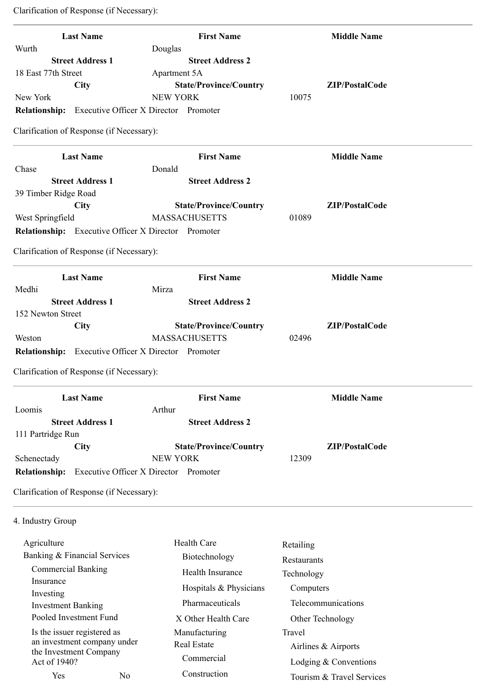| <b>Last Name</b>                                           | <b>First Name</b>                     | <b>Middle Name</b> |
|------------------------------------------------------------|---------------------------------------|--------------------|
| Wurth<br><b>Street Address 1</b>                           | Douglas<br><b>Street Address 2</b>    |                    |
| 18 East 77th Street                                        | Apartment 5A                          |                    |
| City                                                       | <b>State/Province/Country</b>         | ZIP/PostalCode     |
| New York                                                   | <b>NEW YORK</b>                       | 10075              |
| <b>Relationship:</b> Executive Officer X Director Promoter |                                       |                    |
| Clarification of Response (if Necessary):                  |                                       |                    |
| <b>Last Name</b>                                           | <b>First Name</b>                     | <b>Middle Name</b> |
| Chase                                                      | Donald                                |                    |
| <b>Street Address 1</b>                                    | <b>Street Address 2</b>               |                    |
| 39 Timber Ridge Road                                       |                                       |                    |
| City                                                       | <b>State/Province/Country</b>         | ZIP/PostalCode     |
| West Springfield                                           | <b>MASSACHUSETTS</b>                  | 01089              |
| Relationship: Executive Officer X Director Promoter        |                                       |                    |
| Clarification of Response (if Necessary):                  |                                       |                    |
|                                                            |                                       |                    |
| <b>Last Name</b>                                           | <b>First Name</b>                     | <b>Middle Name</b> |
| Medhi                                                      | Mirza                                 |                    |
| <b>Street Address 1</b>                                    | <b>Street Address 2</b>               |                    |
| 152 Newton Street                                          | <b>State/Province/Country</b>         | ZIP/PostalCode     |
| <b>City</b><br>Weston                                      | <b>MASSACHUSETTS</b>                  | 02496              |
| <b>Relationship:</b> Executive Officer X Director Promoter |                                       |                    |
|                                                            |                                       |                    |
| Clarification of Response (if Necessary):                  |                                       |                    |
| <b>Last Name</b>                                           | <b>First Name</b>                     | <b>Middle Name</b> |
| Loomis                                                     | Arthur                                |                    |
| <b>Street Address 1</b>                                    | <b>Street Address 2</b>               |                    |
| 111 Partridge Run                                          |                                       |                    |
| <b>City</b>                                                | <b>State/Province/Country</b>         | ZIP/PostalCode     |
| Schenectady                                                | <b>NEW YORK</b>                       | 12309              |
| <b>Relationship:</b>                                       | Executive Officer X Director Promoter |                    |
| Clarification of Response (if Necessary):                  |                                       |                    |
| 4. Industry Group                                          |                                       |                    |
| Agriculture                                                | <b>Health Care</b>                    | Retailing          |
| Banking & Financial Services                               | Biotechnology                         |                    |
| <b>Commercial Banking</b>                                  |                                       | Restaurants        |
| Insurance                                                  | Health Insurance                      | Technology         |
| Investing                                                  | Hospitals & Physicians                | Computers          |
| <b>Investment Banking</b>                                  | Pharmaceuticals                       | Telecommunications |
| Pooled Investment Fund                                     | X Other Health Care                   | Other Technology   |

Is the issuer registered as an investment company under the Investment Company Act of 1940?

Yes No

 Manufacturing Real Estate Commercial Construction

Travel

Airlines & Airports

 Lodging & Conventions Tourism & Travel Services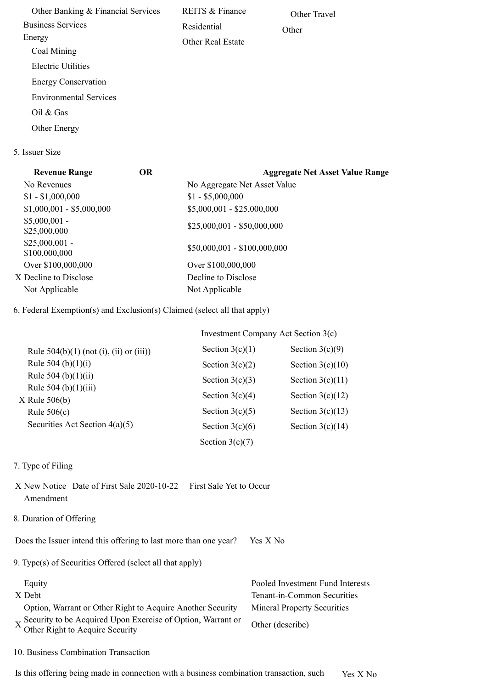Other Banking & Financial Services Business Services Energy Coal Mining Electric Utilities Energy Conservation Environmental Services Oil & Gas Other Energy REITS & Finance Residential Other Real Estate Other Travel **Other** 

5. Issuer Size

| <b>Revenue Range</b>             | <b>OR</b> | <b>Aggregate Net Asset Value Range</b> |
|----------------------------------|-----------|----------------------------------------|
| No Revenues                      |           | No Aggregate Net Asset Value           |
| $$1 - $1,000,000$                |           | $$1 - $5,000,000$                      |
| $$1,000,001 - $5,000,000$        |           | $$5,000,001 - $25,000,000$             |
| $$5,000,001$ -<br>\$25,000,000   |           | $$25,000,001 - $50,000,000$            |
| $$25,000,001$ -<br>\$100,000,000 |           | $$50,000,001 - $100,000,000$           |
| Over \$100,000,000               |           | Over \$100,000,000                     |
| X Decline to Disclose            |           | Decline to Disclose                    |
| Not Applicable                   |           | Not Applicable                         |
|                                  |           |                                        |

6. Federal Exemption(s) and Exclusion(s) Claimed (select all that apply)

|                                              | Investment Company Act Section 3(c) |                    |  |
|----------------------------------------------|-------------------------------------|--------------------|--|
| Rule $504(b)(1)$ (not (i), (ii) or (iii))    | Section $3(c)(1)$                   | Section $3(c)(9)$  |  |
| Rule 504 (b) $(1)(i)$                        | Section $3(c)(2)$                   | Section $3(c)(10)$ |  |
| Rule $504$ (b)(1)(ii)                        | Section $3(c)(3)$                   | Section $3(c)(11)$ |  |
| Rule $504$ (b) $(1)(iii)$<br>$X$ Rule 506(b) | Section $3(c)(4)$                   | Section $3(c)(12)$ |  |
| Rule $506(c)$                                | Section $3(c)(5)$                   | Section $3(c)(13)$ |  |
| Securities Act Section $4(a)(5)$             | Section $3(c)(6)$                   | Section $3(c)(14)$ |  |
|                                              | Section $3(c)(7)$                   |                    |  |

- 7. Type of Filing
- X New Notice Date of First Sale 2020-10-22 First Sale Yet to Occur Amendment
- 8. Duration of Offering

Does the Issuer intend this offering to last more than one year? Yes X No

9. Type(s) of Securities Offered (select all that apply)

| Equity                                                                                           | Pooled Investment Fund Interests   |
|--------------------------------------------------------------------------------------------------|------------------------------------|
| X Debt                                                                                           | Tenant-in-Common Securities        |
| Option, Warrant or Other Right to Acquire Another Security                                       | <b>Mineral Property Securities</b> |
| X Security to be Acquired Upon Exercise of Option, Warrant or<br>Other Right to Acquire Security | Other (describe)                   |

10. Business Combination Transaction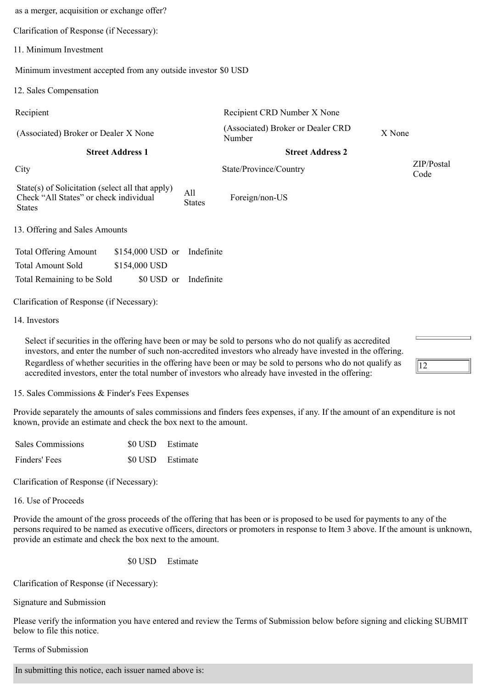| as a merger, acquisition or exchange offer?                                                                 |                      |                                             |        |                    |
|-------------------------------------------------------------------------------------------------------------|----------------------|---------------------------------------------|--------|--------------------|
| Clarification of Response (if Necessary):                                                                   |                      |                                             |        |                    |
| 11. Minimum Investment                                                                                      |                      |                                             |        |                    |
| Minimum investment accepted from any outside investor \$0 USD                                               |                      |                                             |        |                    |
| 12. Sales Compensation                                                                                      |                      |                                             |        |                    |
| Recipient                                                                                                   |                      | Recipient CRD Number X None                 |        |                    |
| (Associated) Broker or Dealer X None                                                                        |                      | (Associated) Broker or Dealer CRD<br>Number | X None |                    |
| <b>Street Address 1</b>                                                                                     |                      | <b>Street Address 2</b>                     |        |                    |
| City                                                                                                        |                      | State/Province/Country                      |        | ZIP/Postal<br>Code |
| State(s) of Solicitation (select all that apply)<br>Check "All States" or check individual<br><b>States</b> | All<br><b>States</b> | Foreign/non-US                              |        |                    |
| 13. Offering and Sales Amounts                                                                              |                      |                                             |        |                    |
| <b>Total Offering Amount</b><br>$$154,000$ USD or                                                           | Indefinite           |                                             |        |                    |
| <b>Total Amount Sold</b><br>\$154,000 USD                                                                   |                      |                                             |        |                    |
| Total Remaining to be Sold<br>\$0 USD or                                                                    | Indefinite           |                                             |        |                    |
| Clarification of Response (if Necessary):                                                                   |                      |                                             |        |                    |
| 14. Investors                                                                                               |                      |                                             |        |                    |
|                                                                                                             |                      |                                             |        |                    |

investors, and enter the number of such non-accredited investors who already have invested in the offering. Regardless of whether securities in the offering have been or may be sold to persons who do not qualify as accredited investors, enter the total number of investors who already have invested in the offering:

15. Sales Commissions & Finder's Fees Expenses

Provide separately the amounts of sales commissions and finders fees expenses, if any. If the amount of an expenditure is not known, provide an estimate and check the box next to the amount.

 $\vert$ 12

| Sales Commissions | \$0 USD Estimate |  |
|-------------------|------------------|--|
| Finders' Fees     | \$0 USD Estimate |  |

Clarification of Response (if Necessary):

16. Use of Proceeds

Provide the amount of the gross proceeds of the offering that has been or is proposed to be used for payments to any of the persons required to be named as executive officers, directors or promoters in response to Item 3 above. If the amount is unknown, provide an estimate and check the box next to the amount.

\$0 USD Estimate

Clarification of Response (if Necessary):

Signature and Submission

Please verify the information you have entered and review the Terms of Submission below before signing and clicking SUBMIT below to file this notice.

Terms of Submission

In submitting this notice, each issuer named above is: